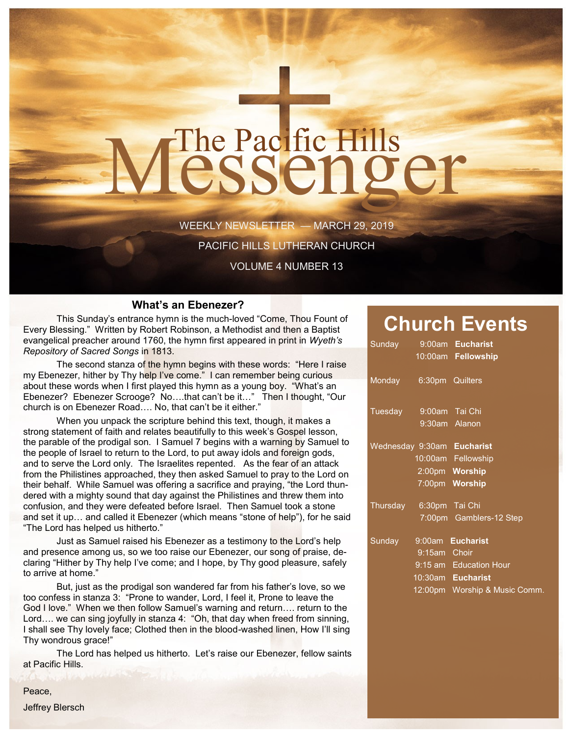# The Pacific Hills<br>CSSCNOCT

WEEKLY NEWSLETTER — MARCH 29, 2019

PACIFIC HILLS LUTHERAN CHURCH

VOLUME 4 NUMBER 13

#### **What's an Ebenezer?**

This Sunday's entrance hymn is the much-loved "Come, Thou Fount of Every Blessing." Written by Robert Robinson, a Methodist and then a Baptist evangelical preacher around 1760, the hymn first appeared in print in *Wyeth's Repository of Sacred Songs* in 1813.

The second stanza of the hymn begins with these words: "Here I raise my Ebenezer, hither by Thy help I've come." I can remember being curious about these words when I first played this hymn as a young boy. "What's an Ebenezer? Ebenezer Scrooge? No….that can't be it…" Then I thought, "Our church is on Ebenezer Road…. No, that can't be it either."

When you unpack the scripture behind this text, though, it makes a strong statement of faith and relates beautifully to this week's Gospel lesson, the parable of the prodigal son. I Samuel 7 begins with a warning by Samuel to the people of Israel to return to the Lord, to put away idols and foreign gods, and to serve the Lord only. The Israelites repented. As the fear of an attack from the Philistines approached, they then asked Samuel to pray to the Lord on their behalf. While Samuel was offering a sacrifice and praying, "the Lord thundered with a mighty sound that day against the Philistines and threw them into confusion, and they were defeated before Israel. Then Samuel took a stone and set it up… and called it Ebenezer (which means "stone of help"), for he said "The Lord has helped us hitherto."

Just as Samuel raised his Ebenezer as a testimony to the Lord's help and presence among us, so we too raise our Ebenezer, our song of praise, declaring "Hither by Thy help I've come; and I hope, by Thy good pleasure, safely to arrive at home."

But, just as the prodigal son wandered far from his father's love, so we too confess in stanza 3: "Prone to wander, Lord, I feel it, Prone to leave the God I love." When we then follow Samuel's warning and return…. return to the Lord…. we can sing joyfully in stanza 4: "Oh, that day when freed from sinning, I shall see Thy lovely face; Clothed then in the blood-washed linen, How I'll sing Thy wondrous grace!"

The Lord has helped us hitherto. Let's raise our Ebenezer, fellow saints at Pacific Hills.

### **Church Events**

| Sunday                     |              | 9:00am Eucharist              |
|----------------------------|--------------|-------------------------------|
|                            |              | 10:00am Fellowship            |
| Monday 6:30pm Quilters     |              |                               |
| Tuesday 9:00am Tai Chi     |              |                               |
|                            |              | 9:30am Alanon                 |
| Wednesday 9:30am Eucharist |              |                               |
|                            |              | 10:00am Fellowship            |
|                            |              | 2:00pm Worship                |
|                            |              | 7:00pm Worship                |
| Thursday 6:30pm Tai Chi    |              |                               |
|                            |              | 7:00pm Gamblers-12 Step       |
| Sunday                     |              | 9:00am Eucharist              |
|                            | 9:15am Choir |                               |
|                            |              | 9:15 am Education Hour        |
|                            |              | 10:30am Eucharist             |
|                            |              | 12:00pm Worship & Music Comm. |
|                            |              |                               |

Peace,

Jeffrey Blersch